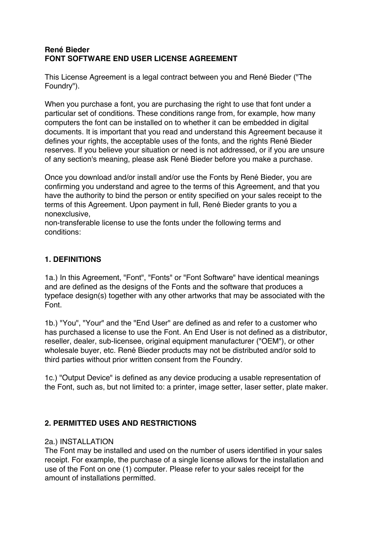# **René Bieder FONT SOFTWARE END USER LICENSE AGREEMENT**

This License Agreement is a legal contract between you and René Bieder ("The Foundry").

When you purchase a font, you are purchasing the right to use that font under a particular set of conditions. These conditions range from, for example, how many computers the font can be installed on to whether it can be embedded in digital documents. It is important that you read and understand this Agreement because it defines your rights, the acceptable uses of the fonts, and the rights René Bieder reserves. If you believe your situation or need is not addressed, or if you are unsure of any section's meaning, please ask René Bieder before you make a purchase.

Once you download and/or install and/or use the Fonts by René Bieder, you are confirming you understand and agree to the terms of this Agreement, and that you have the authority to bind the person or entity specified on your sales receipt to the terms of this Agreement. Upon payment in full, René Bieder grants to you a nonexclusive,

non-transferable license to use the fonts under the following terms and conditions:

# **1. DEFINITIONS**

1a.) In this Agreement, "Font", "Fonts" or "Font Software" have identical meanings and are defined as the designs of the Fonts and the software that produces a typeface design(s) together with any other artworks that may be associated with the Font.

1b.) "You", "Your" and the "End User" are defined as and refer to a customer who has purchased a license to use the Font. An End User is not defined as a distributor, reseller, dealer, sub-licensee, original equipment manufacturer ("OEM"), or other wholesale buyer, etc. René Bieder products may not be distributed and/or sold to third parties without prior written consent from the Foundry.

1c.) "Output Device" is defined as any device producing a usable representation of the Font, such as, but not limited to: a printer, image setter, laser setter, plate maker.

# **2. PERMITTED USES AND RESTRICTIONS**

#### 2a.) INSTALLATION

The Font may be installed and used on the number of users identified in your sales receipt. For example, the purchase of a single license allows for the installation and use of the Font on one (1) computer. Please refer to your sales receipt for the amount of installations permitted.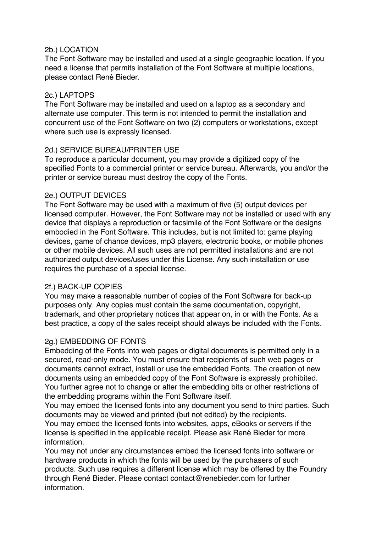## 2b.) LOCATION

The Font Software may be installed and used at a single geographic location. If you need a license that permits installation of the Font Software at multiple locations, please contact René Bieder.

## 2c.) LAPTOPS

The Font Software may be installed and used on a laptop as a secondary and alternate use computer. This term is not intended to permit the installation and concurrent use of the Font Software on two (2) computers or workstations, except where such use is expressly licensed.

## 2d.) SERVICE BUREAU/PRINTER USE

To reproduce a particular document, you may provide a digitized copy of the specified Fonts to a commercial printer or service bureau. Afterwards, you and/or the printer or service bureau must destroy the copy of the Fonts.

## 2e.) OUTPUT DEVICES

The Font Software may be used with a maximum of five (5) output devices per licensed computer. However, the Font Software may not be installed or used with any device that displays a reproduction or facsimile of the Font Software or the designs embodied in the Font Software. This includes, but is not limited to: game playing devices, game of chance devices, mp3 players, electronic books, or mobile phones or other mobile devices. All such uses are not permitted installations and are not authorized output devices/uses under this License. Any such installation or use requires the purchase of a special license.

# 2f.) BACK-UP COPIES

You may make a reasonable number of copies of the Font Software for back-up purposes only. Any copies must contain the same documentation, copyright, trademark, and other proprietary notices that appear on, in or with the Fonts. As a best practice, a copy of the sales receipt should always be included with the Fonts.

# 2g.) EMBEDDING OF FONTS

Embedding of the Fonts into web pages or digital documents is permitted only in a secured, read-only mode. You must ensure that recipients of such web pages or documents cannot extract, install or use the embedded Fonts. The creation of new documents using an embedded copy of the Font Software is expressly prohibited. You further agree not to change or alter the embedding bits or other restrictions of the embedding programs within the Font Software itself.

You may embed the licensed fonts into any document you send to third parties. Such documents may be viewed and printed (but not edited) by the recipients.

You may embed the licensed fonts into websites, apps, eBooks or servers if the license is specified in the applicable receipt. Please ask René Bieder for more information.

You may not under any circumstances embed the licensed fonts into software or hardware products in which the fonts will be used by the purchasers of such products. Such use requires a different license which may be offered by the Foundry through René Bieder. Please contact contact@renebieder.com for further information.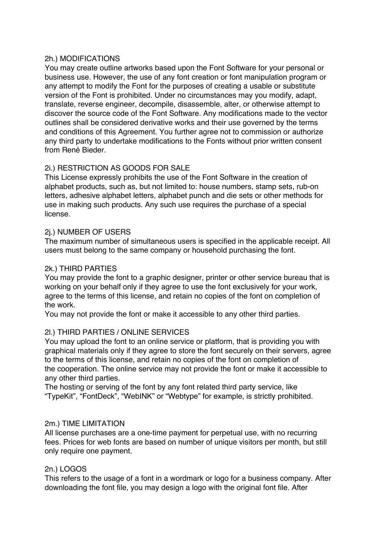#### 2h.) MODIFICATIONS

You may create outline artworks based upon the Font Software for your personal or business use. However, the use of any font creation or font manipulation program or any attempt to modify the Font for the purposes of creating a usable or substitute version of the Font is prohibited. Under no circumstances may you modify, adapt, translate, reverse engineer, decompile, disassemble, alter, or otherwise attempt to discover the source code of the Font Software. Any modifications made to the vector outlines shall be considered derivative works and their use governed by the terms and conditions of this Agreement. You further agree not to commission or authorize any third party to undertake modifications to the Fonts without prior written consent from René Bieder.

# 2i.) RESTRICTION AS GOODS FOR SALE

This License expressly prohibits the use of the Font Software in the creation of alphabet products, such as, but not limited to: house numbers, stamp sets, rub-on letters, adhesive alphabet letters, alphabet punch and die sets or other methods for use in making such products. Any such use requires the purchase of a special license.

## 2j.) NUMBER OF USERS

The maximum number of simultaneous users is specified in the applicable receipt. All users must belong to the same company or household purchasing the font.

#### 2k.) THIRD PARTIES

You may provide the font to a graphic designer, printer or other service bureau that is working on your behalf only if they agree to use the font exclusively for your work, agree to the terms of this license, and retain no copies of the font on completion of the work.

You may not provide the font or make it accessible to any other third parties.

#### 2l.) THIRD PARTIES / ONLINE SERVICES

You may upload the font to an online service or platform, that is providing you with graphical materials only if they agree to store the font securely on their servers, agree to the terms of this license, and retain no copies of the font on completion of the cooperation. The online service may not provide the font or make it accessible to any other third parties.

The hosting or serving of the font by any font related third party service, like "TypeKit", "FontDeck", "WebINK" or "Webtype" for example, is strictly prohibited.

#### 2m.) TIME LIMITATION

All license purchases are a one-time payment for perpetual use, with no recurring fees. Prices for web fonts are based on number of unique visitors per month, but still only require one payment.

#### 2n.) LOGOS

This refers to the usage of a font in a wordmark or logo for a business company. After downloading the font file, you may design a logo with the original font file. After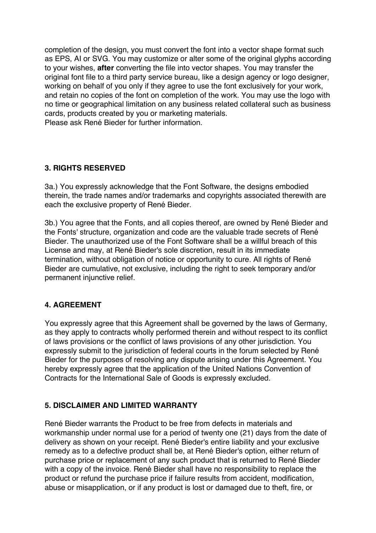completion of the design, you must convert the font into a vector shape format such as EPS, AI or SVG. You may customize or alter some of the original glyphs according to your wishes, **after** converting the file into vector shapes. You may transfer the original font file to a third party service bureau, like a design agency or logo designer, working on behalf of you only if they agree to use the font exclusively for your work, and retain no copies of the font on completion of the work. You may use the logo with no time or geographical limitation on any business related collateral such as business cards, products created by you or marketing materials. Please ask René Bieder for further information.

# **3. RIGHTS RESERVED**

3a.) You expressly acknowledge that the Font Software, the designs embodied therein, the trade names and/or trademarks and copyrights associated therewith are each the exclusive property of René Bieder.

3b.) You agree that the Fonts, and all copies thereof, are owned by René Bieder and the Fonts' structure, organization and code are the valuable trade secrets of René Bieder. The unauthorized use of the Font Software shall be a willful breach of this License and may, at René Bieder's sole discretion, result in its immediate termination, without obligation of notice or opportunity to cure. All rights of René Bieder are cumulative, not exclusive, including the right to seek temporary and/or permanent injunctive relief.

# **4. AGREEMENT**

You expressly agree that this Agreement shall be governed by the laws of Germany, as they apply to contracts wholly performed therein and without respect to its conflict of laws provisions or the conflict of laws provisions of any other jurisdiction. You expressly submit to the jurisdiction of federal courts in the forum selected by René Bieder for the purposes of resolving any dispute arising under this Agreement. You hereby expressly agree that the application of the United Nations Convention of Contracts for the International Sale of Goods is expressly excluded.

# **5. DISCLAIMER AND LIMITED WARRANTY**

René Bieder warrants the Product to be free from defects in materials and workmanship under normal use for a period of twenty one (21) days from the date of delivery as shown on your receipt. René Bieder's entire liability and your exclusive remedy as to a defective product shall be, at René Bieder's option, either return of purchase price or replacement of any such product that is returned to René Bieder with a copy of the invoice. René Bieder shall have no responsibility to replace the product or refund the purchase price if failure results from accident, modification, abuse or misapplication, or if any product is lost or damaged due to theft, fire, or